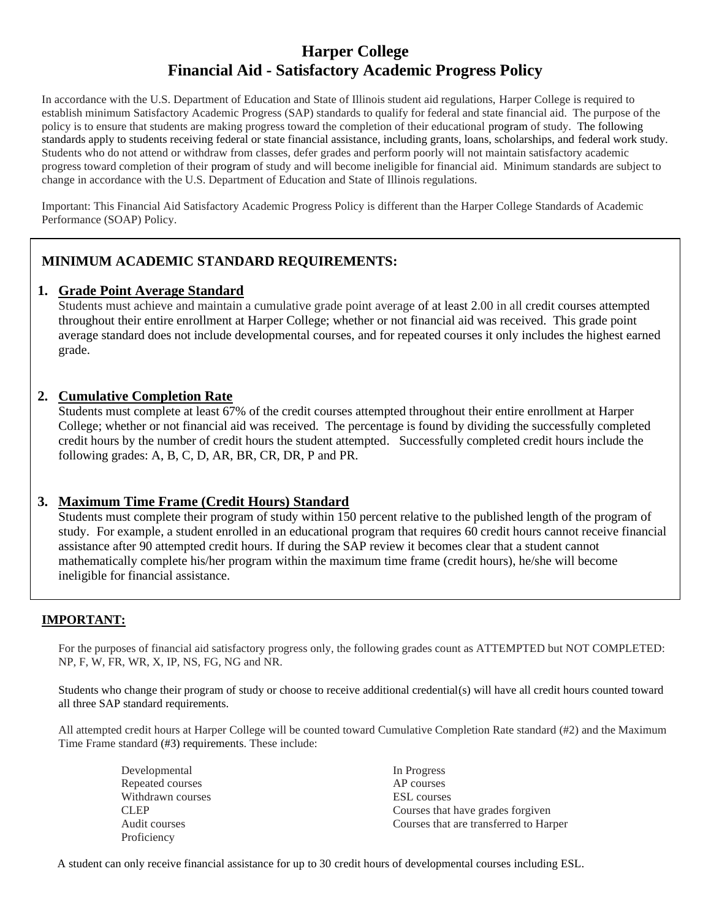# **Harper College Financial Aid - Satisfactory Academic Progress Policy**

In accordance with the U.S. Department of Education and State of Illinois student aid regulations, Harper College is required to establish minimum Satisfactory Academic Progress (SAP) standards to qualify for federal and state financial aid. The purpose of the policy is to ensure that students are making progress toward the completion of their educational program of study. The following standards apply to students receiving federal or state financial assistance, including grants, loans, scholarships, and federal work study. Students who do not attend or withdraw from classes, defer grades and perform poorly will not maintain satisfactory academic progress toward completion of their program of study and will become ineligible for financial aid. Minimum standards are subject to change in accordance with the U.S. Department of Education and State of Illinois regulations.

Important: This Financial Aid Satisfactory Academic Progress Policy is different than the Harper College Standards of Academic Performance (SOAP) Policy.

## **MINIMUM ACADEMIC STANDARD REQUIREMENTS:**

#### **1. Grade Point Average Standard**

Students must achieve and maintain a cumulative grade point average of at least 2.00 in all credit courses attempted throughout their entire enrollment at Harper College; whether or not financial aid was received. This grade point average standard does not include developmental courses, and for repeated courses it only includes the highest earned grade.

## **2. Cumulative Completion Rate**

Students must complete at least 67% of the credit courses attempted throughout their entire enrollment at Harper College; whether or not financial aid was received. The percentage is found by dividing the successfully completed credit hours by the number of credit hours the student attempted. Successfully completed credit hours include the following grades: A, B, C, D, AR, BR, CR, DR, P and PR.

## **3. Maximum Time Frame (Credit Hours) Standard**

Students must complete their program of study within 150 percent relative to the published length of the program of study. For example, a student enrolled in an educational program that requires 60 credit hours cannot receive financial assistance after 90 attempted credit hours. If during the SAP review it becomes clear that a student cannot mathematically complete his/her program within the maximum time frame (credit hours), he/she will become ineligible for financial assistance.

## **IMPORTANT:**

For the purposes of financial aid satisfactory progress only, the following grades count as ATTEMPTED but NOT COMPLETED: NP, F, W, FR, WR, X, IP, NS, FG, NG and NR.

Students who change their program of study or choose to receive additional credential(s) will have all credit hours counted toward all three SAP standard requirements.

All attempted credit hours at Harper College will be counted toward Cumulative Completion Rate standard (#2) and the Maximum Time Frame standard (#3) requirements. These include:

| Developmental     | In Progress                            |
|-------------------|----------------------------------------|
| Repeated courses  | AP courses                             |
| Withdrawn courses | <b>ESL</b> courses                     |
| <b>CLEP</b>       | Courses that have grades for given     |
| Audit courses     | Courses that are transferred to Harper |
| Proficiency       |                                        |

A student can only receive financial assistance for up to 30 credit hours of developmental courses including ESL.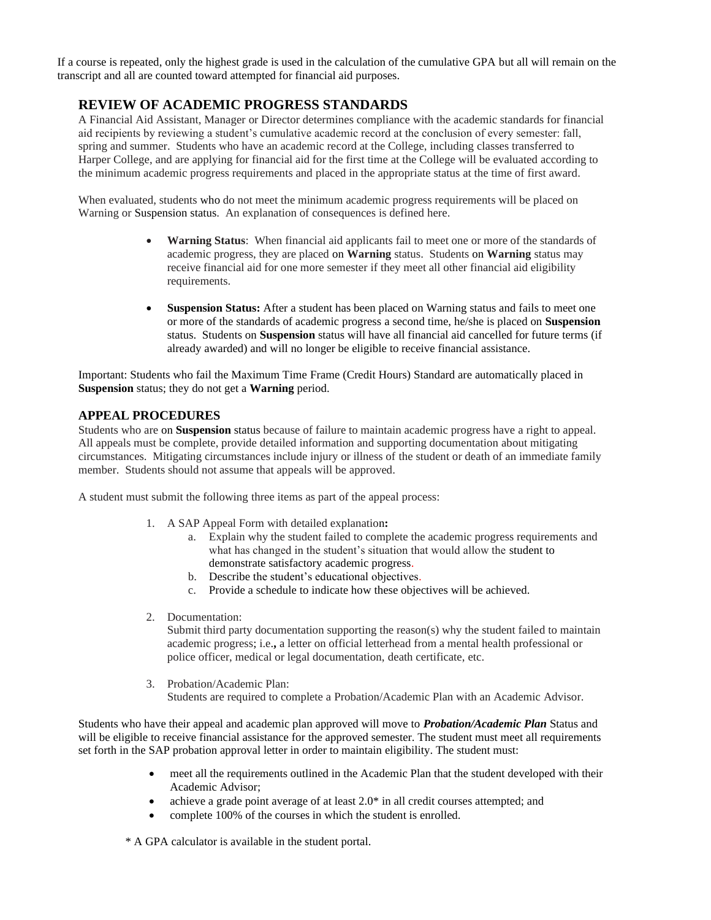If a course is repeated, only the highest grade is used in the calculation of the cumulative GPA but all will remain on the transcript and all are counted toward attempted for financial aid purposes.

## **REVIEW OF ACADEMIC PROGRESS STANDARDS**

A Financial Aid Assistant, Manager or Director determines compliance with the academic standards for financial aid recipients by reviewing a student's cumulative academic record at the conclusion of every semester: fall, spring and summer. Students who have an academic record at the College, including classes transferred to Harper College, and are applying for financial aid for the first time at the College will be evaluated according to the minimum academic progress requirements and placed in the appropriate status at the time of first award.

When evaluated, students who do not meet the minimum academic progress requirements will be placed on Warning or Suspension status. An explanation of consequences is defined here.

- **Warning Status**: When financial aid applicants fail to meet one or more of the standards of academic progress, they are placed on **Warning** status. Students on **Warning** status may receive financial aid for one more semester if they meet all other financial aid eligibility requirements.
- **Suspension Status:** After a student has been placed on Warning status and fails to meet one or more of the standards of academic progress a second time, he/she is placed on **Suspension** status. Students on **Suspension** status will have all financial aid cancelled for future terms (if already awarded) and will no longer be eligible to receive financial assistance.

Important: Students who fail the Maximum Time Frame (Credit Hours) Standard are automatically placed in **Suspension** status; they do not get a **Warning** period.

#### **APPEAL PROCEDURES**

Students who are on **Suspension** status because of failure to maintain academic progress have a right to appeal. All appeals must be complete, provide detailed information and supporting documentation about mitigating circumstances. Mitigating circumstances include injury or illness of the student or death of an immediate family member. Students should not assume that appeals will be approved.

A student must submit the following three items as part of the appeal process:

- 1. A SAP Appeal Form with detailed explanation**:**
	- a. Explain why the student failed to complete the academic progress requirements and what has changed in the student's situation that would allow the student to demonstrate satisfactory academic progress.
	- b. Describe the student's educational objectives.
	- c. Provide a schedule to indicate how these objectives will be achieved.
- 2. Documentation:

Submit third party documentation supporting the reason(s) why the student failed to maintain academic progress; i.e.**,** a letter on official letterhead from a mental health professional or police officer, medical or legal documentation, death certificate, etc.

3. Probation/Academic Plan: Students are required to complete a Probation/Academic Plan with an Academic Advisor.

Students who have their appeal and academic plan approved will move to *Probation/Academic Plan* Status and will be eligible to receive financial assistance for the approved semester. The student must meet all requirements set forth in the SAP probation approval letter in order to maintain eligibility. The student must:

- meet all the requirements outlined in the Academic Plan that the student developed with their Academic Advisor;
- achieve a grade point average of at least 2.0\* in all credit courses attempted; and
- complete 100% of the courses in which the student is enrolled.

\* A GPA calculator is available in the student portal.